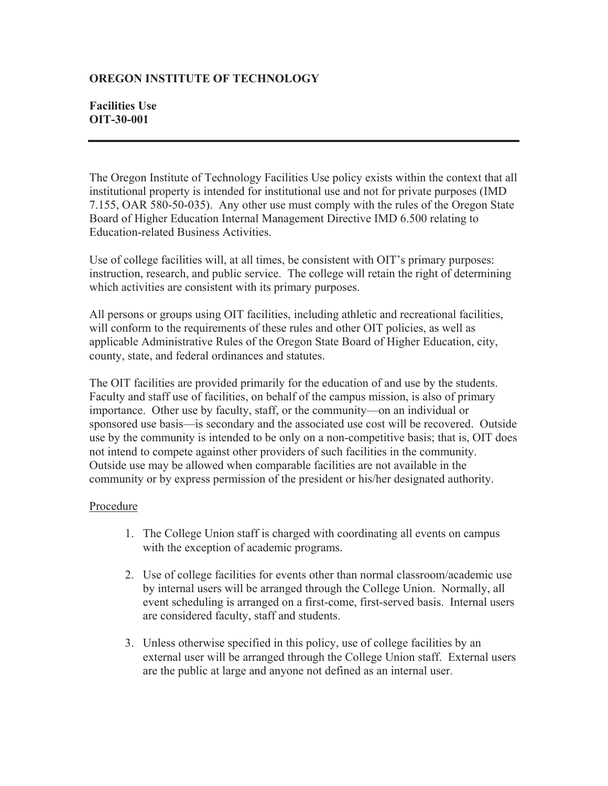## **OREGON INSTITUTE OF TECHNOLOGY**

## **Facilities Use OIT-30-001**

The Oregon Institute of Technology Facilities Use policy exists within the context that all institutional property is intended for institutional use and not for private purposes (IMD 7.155, OAR 580-50-035). Any other use must comply with the rules of the Oregon State Board of Higher Education Internal Management Directive IMD 6.500 relating to Education-related Business Activities.

Use of college facilities will, at all times, be consistent with OIT's primary purposes: instruction, research, and public service. The college will retain the right of determining which activities are consistent with its primary purposes.

All persons or groups using OIT facilities, including athletic and recreational facilities, will conform to the requirements of these rules and other OIT policies, as well as applicable Administrative Rules of the Oregon State Board of Higher Education, city, county, state, and federal ordinances and statutes.

The OIT facilities are provided primarily for the education of and use by the students. Faculty and staff use of facilities, on behalf of the campus mission, is also of primary importance. Other use by faculty, staff, or the community—on an individual or sponsored use basis—is secondary and the associated use cost will be recovered. Outside use by the community is intended to be only on a non-competitive basis; that is, OIT does not intend to compete against other providers of such facilities in the community. Outside use may be allowed when comparable facilities are not available in the community or by express permission of the president or his/her designated authority.

## Procedure

- 1. The College Union staff is charged with coordinating all events on campus with the exception of academic programs.
- 2. Use of college facilities for events other than normal classroom/academic use by internal users will be arranged through the College Union. Normally, all event scheduling is arranged on a first-come, first-served basis. Internal users are considered faculty, staff and students.
- 3. Unless otherwise specified in this policy, use of college facilities by an external user will be arranged through the College Union staff. External users are the public at large and anyone not defined as an internal user.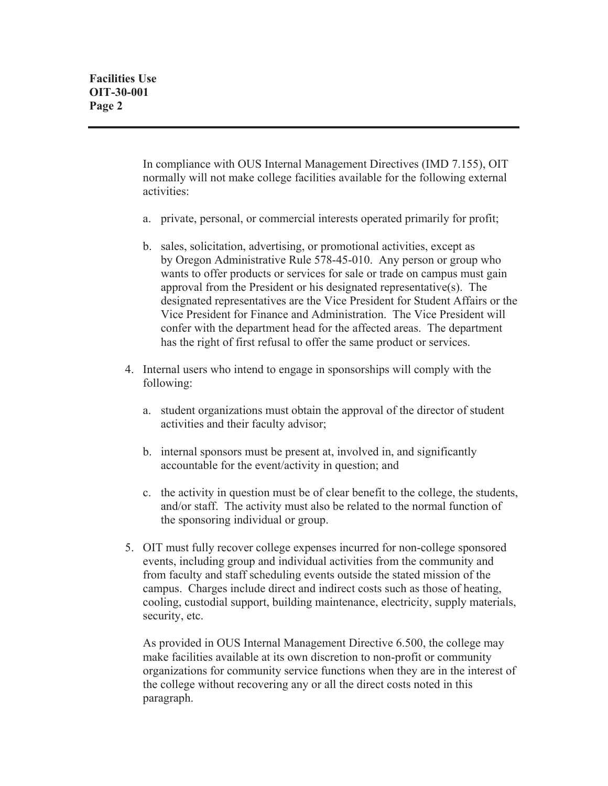In compliance with OUS Internal Management Directives (IMD 7.155), OIT normally will not make college facilities available for the following external activities:

- a. private, personal, or commercial interests operated primarily for profit;
- b. sales, solicitation, advertising, or promotional activities, except as by Oregon Administrative Rule 578-45-010. Any person or group who wants to offer products or services for sale or trade on campus must gain approval from the President or his designated representative(s). The designated representatives are the Vice President for Student Affairs or the Vice President for Finance and Administration. The Vice President will confer with the department head for the affected areas. The department has the right of first refusal to offer the same product or services.
- 4. Internal users who intend to engage in sponsorships will comply with the following:
	- a. student organizations must obtain the approval of the director of student activities and their faculty advisor;
	- b. internal sponsors must be present at, involved in, and significantly accountable for the event/activity in question; and
	- c. the activity in question must be of clear benefit to the college, the students, and/or staff. The activity must also be related to the normal function of the sponsoring individual or group.
- 5. OIT must fully recover college expenses incurred for non-college sponsored events, including group and individual activities from the community and from faculty and staff scheduling events outside the stated mission of the campus. Charges include direct and indirect costs such as those of heating, cooling, custodial support, building maintenance, electricity, supply materials, security, etc.

As provided in OUS Internal Management Directive 6.500, the college may make facilities available at its own discretion to non-profit or community organizations for community service functions when they are in the interest of the college without recovering any or all the direct costs noted in this paragraph.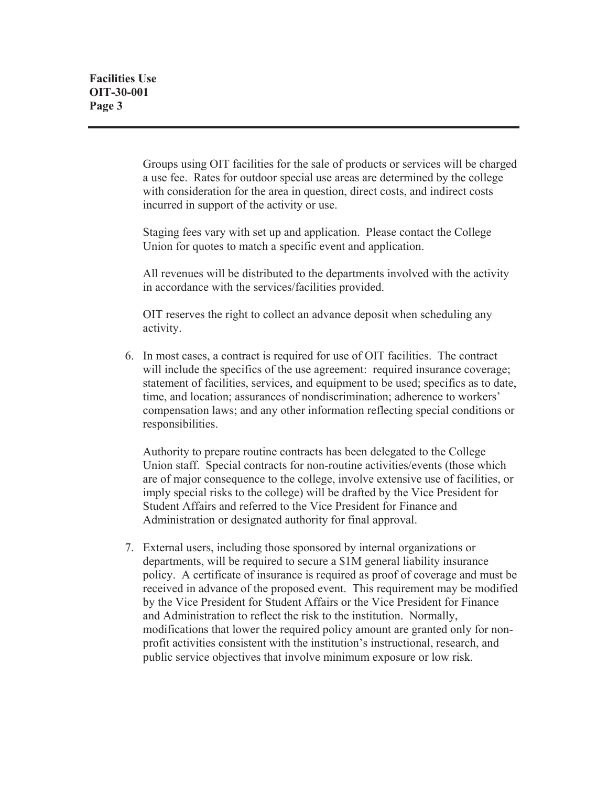Groups using OIT facilities for the sale of products or services will be charged a use fee. Rates for outdoor special use areas are determined by the college with consideration for the area in question, direct costs, and indirect costs incurred in support of the activity or use.

Staging fees vary with set up and application. Please contact the College Union for quotes to match a specific event and application.

All revenues will be distributed to the departments involved with the activity in accordance with the services/facilities provided.

OIT reserves the right to collect an advance deposit when scheduling any activity.

6. In most cases, a contract is required for use of OIT facilities. The contract will include the specifics of the use agreement: required insurance coverage; statement of facilities, services, and equipment to be used; specifics as to date, time, and location; assurances of nondiscrimination; adherence to workers' compensation laws; and any other information reflecting special conditions or responsibilities.

Authority to prepare routine contracts has been delegated to the College Union staff. Special contracts for non-routine activities/events (those which are of major consequence to the college, involve extensive use of facilities, or imply special risks to the college) will be drafted by the Vice President for Student Affairs and referred to the Vice President for Finance and Administration or designated authority for final approval.

7. External users, including those sponsored by internal organizations or departments, will be required to secure a \$1M general liability insurance policy. A certificate of insurance is required as proof of coverage and must be received in advance of the proposed event. This requirement may be modified by the Vice President for Student Affairs or the Vice President for Finance and Administration to reflect the risk to the institution. Normally, modifications that lower the required policy amount are granted only for nonprofit activities consistent with the institution's instructional, research, and public service objectives that involve minimum exposure or low risk.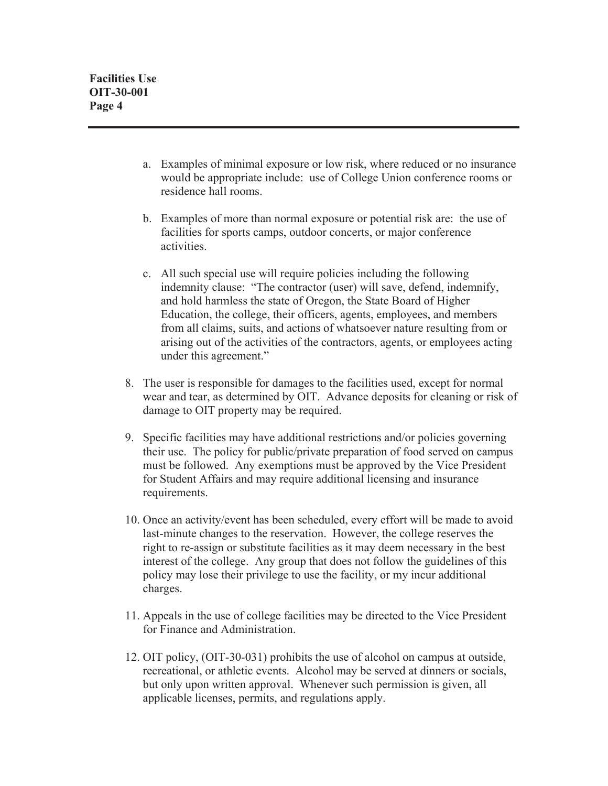- a. Examples of minimal exposure or low risk, where reduced or no insurance would be appropriate include: use of College Union conference rooms or residence hall rooms.
- b. Examples of more than normal exposure or potential risk are: the use of facilities for sports camps, outdoor concerts, or major conference activities.
- c. All such special use will require policies including the following indemnity clause: "The contractor (user) will save, defend, indemnify, and hold harmless the state of Oregon, the State Board of Higher Education, the college, their officers, agents, employees, and members from all claims, suits, and actions of whatsoever nature resulting from or arising out of the activities of the contractors, agents, or employees acting under this agreement."
- 8. The user is responsible for damages to the facilities used, except for normal wear and tear, as determined by OIT. Advance deposits for cleaning or risk of damage to OIT property may be required.
- 9. Specific facilities may have additional restrictions and/or policies governing their use. The policy for public/private preparation of food served on campus must be followed. Any exemptions must be approved by the Vice President for Student Affairs and may require additional licensing and insurance requirements.
- 10. Once an activity/event has been scheduled, every effort will be made to avoid last-minute changes to the reservation. However, the college reserves the right to re-assign or substitute facilities as it may deem necessary in the best interest of the college. Any group that does not follow the guidelines of this policy may lose their privilege to use the facility, or my incur additional charges.
- 11. Appeals in the use of college facilities may be directed to the Vice President for Finance and Administration.
- 12. OIT policy, (OIT-30-031) prohibits the use of alcohol on campus at outside, recreational, or athletic events. Alcohol may be served at dinners or socials, but only upon written approval. Whenever such permission is given, all applicable licenses, permits, and regulations apply.